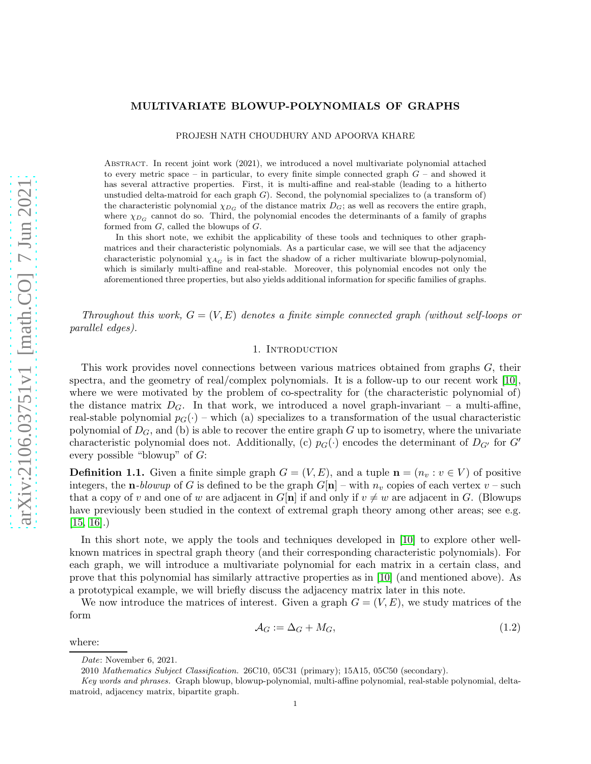# MULTIVARIATE BLOWUP-POLYNOMIALS OF GRAPHS

PROJESH NATH CHOUDHURY AND APOORVA KHARE

Abstract. In recent joint work (2021), we introduced a novel multivariate polynomial attached to every metric space – in particular, to every finite simple connected graph  $G$  – and showed it has several attractive properties. First, it is multi-affine and real-stable (leading to a hitherto unstudied delta-matroid for each graph  $G$ ). Second, the polynomial specializes to (a transform of) the characteristic polynomial  $\chi_{D_G}$  of the distance matrix  $D_G$ ; as well as recovers the entire graph, where  $\chi_{D_G}$  cannot do so. Third, the polynomial encodes the determinants of a family of graphs formed from G, called the blowups of G.

In this short note, we exhibit the applicability of these tools and techniques to other graphmatrices and their characteristic polynomials. As a particular case, we will see that the adjacency characteristic polynomial  $\chi_{AG}$  is in fact the shadow of a richer multivariate blowup-polynomial, which is similarly multi-affine and real-stable. Moreover, this polynomial encodes not only the aforementioned three properties, but also yields additional information for specific families of graphs.

Throughout this work,  $G = (V, E)$  denotes a finite simple connected graph (without self-loops or parallel edges).

## 1. INTRODUCTION

This work provides novel connections between various matrices obtained from graphs G, their spectra, and the geometry of real/complex polynomials. It is a follow-up to our recent work [\[10\]](#page-9-0), where we were motivated by the problem of co-spectrality for (the characteristic polynomial of) the distance matrix  $D_G$ . In that work, we introduced a novel graph-invariant – a multi-affine, real-stable polynomial  $p_G(\cdot)$  – which (a) specializes to a transformation of the usual characteristic polynomial of  $D_G$ , and (b) is able to recover the entire graph G up to isometry, where the univariate characteristic polynomial does not. Additionally, (c)  $p_G(\cdot)$  encodes the determinant of  $D_{G'}$  for G' every possible "blowup" of G:

**Definition 1.1.** Given a finite simple graph  $G = (V, E)$ , and a tuple  $\mathbf{n} = (n_v : v \in V)$  of positive integers, the **n**-blowup of G is defined to be the graph  $G[\mathbf{n}]$  – with  $n_v$  copies of each vertex  $v$  – such that a copy of v and one of w are adjacent in  $G[n]$  if and only if  $v \neq w$  are adjacent in G. (Blowups have previously been studied in the context of extremal graph theory among other areas; see e.g.  $[15, 16]$  $[15, 16]$ .

In this short note, we apply the tools and techniques developed in [\[10\]](#page-9-0) to explore other wellknown matrices in spectral graph theory (and their corresponding characteristic polynomials). For each graph, we will introduce a multivariate polynomial for each matrix in a certain class, and prove that this polynomial has similarly attractive properties as in [\[10\]](#page-9-0) (and mentioned above). As a prototypical example, we will briefly discuss the adjacency matrix later in this note.

We now introduce the matrices of interest. Given a graph  $G = (V, E)$ , we study matrices of the form

<span id="page-0-0"></span>
$$
\mathcal{A}_G := \Delta_G + M_G,\tag{1.2}
$$

where:

Date: November 6, 2021.

<sup>2010</sup> Mathematics Subject Classification. 26C10, 05C31 (primary); 15A15, 05C50 (secondary).

Key words and phrases. Graph blowup, blowup-polynomial, multi-affine polynomial, real-stable polynomial, deltamatroid, adjacency matrix, bipartite graph.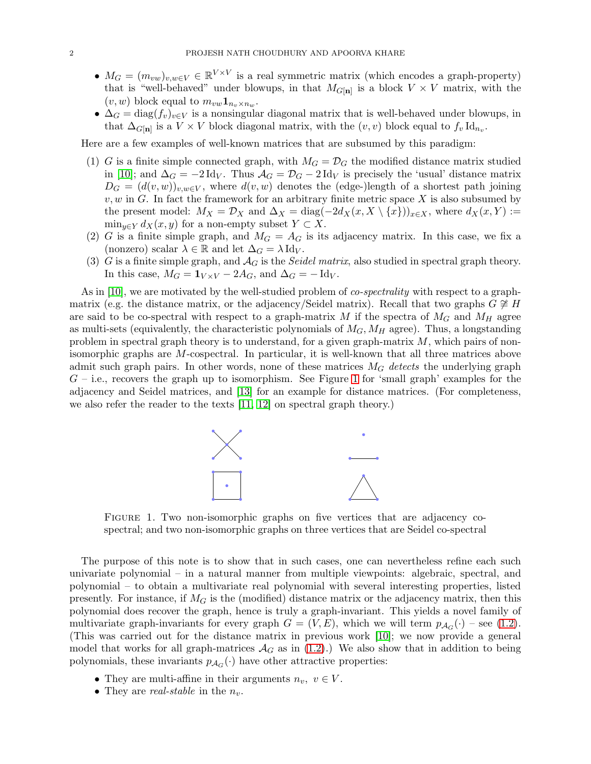- $M_G = (m_{vw})_{v,w \in V} \in \mathbb{R}^{V \times V}$  is a real symmetric matrix (which encodes a graph-property) that is "well-behaved" under blowups, in that  $M_{G[n]}$  is a block  $V \times V$  matrix, with the  $(v, w)$  block equal to  $m_{vw} \mathbf{1}_{n_v \times n_w}$ .
- $\Delta_G = \text{diag}(f_v)_{v \in V}$  is a nonsingular diagonal matrix that is well-behaved under blowups, in that  $\Delta_{G[\mathbf{n}]}$  is a  $V \times V$  block diagonal matrix, with the  $(v, v)$  block equal to  $f_v \, \mathrm{Id}_{n_v}$ .

Here are a few examples of well-known matrices that are subsumed by this paradigm:

- (1) G is a finite simple connected graph, with  $M_G = \mathcal{D}_G$  the modified distance matrix studied in [\[10\]](#page-9-0); and  $\Delta_G = -2 \text{Id}_V$ . Thus  $\mathcal{A}_G = \mathcal{D}_G - 2 \text{Id}_V$  is precisely the 'usual' distance matrix  $D_G = (d(v, w))_{v,w \in V}$ , where  $d(v, w)$  denotes the (edge-)length of a shortest path joining  $v, w$  in G. In fact the framework for an arbitrary finite metric space X is also subsumed by the present model:  $M_X = \mathcal{D}_X$  and  $\Delta_X = \text{diag}(-2d_X(x, X \setminus \{x\}))_{x \in X}$ , where  $d_X(x, Y) :=$  $\min_{y \in Y} d_X(x, y)$  for a non-empty subset  $Y \subset X$ .
- (2) G is a finite simple graph, and  $M_G = A_G$  is its adjacency matrix. In this case, we fix a (nonzero) scalar  $\lambda \in \mathbb{R}$  and let  $\Delta_G = \lambda \, \text{Id}_V$ .
- (3) G is a finite simple graph, and  $A_G$  is the *Seidel matrix*, also studied in spectral graph theory. In this case,  $M_G = \mathbf{1}_{V \times V} - 2A_G$ , and  $\Delta_G = -\text{Id}_V$ .

As in [\[10\]](#page-9-0), we are motivated by the well-studied problem of *co-spectrality* with respect to a graphmatrix (e.g. the distance matrix, or the adjacency/Seidel matrix). Recall that two graphs  $G \not\cong H$ are said to be co-spectral with respect to a graph-matrix M if the spectra of  $M<sub>G</sub>$  and  $M<sub>H</sub>$  agree as multi-sets (equivalently, the characteristic polynomials of  $M_G$ ,  $M_H$  agree). Thus, a longstanding problem in spectral graph theory is to understand, for a given graph-matrix  $M$ , which pairs of nonisomorphic graphs are M-cospectral. In particular, it is well-known that all three matrices above admit such graph pairs. In other words, none of these matrices  $M_G$  detects the underlying graph  $G$  – i.e., recovers the graph up to isomorphism. See Figure [1](#page-1-0) for 'small graph' examples for the adjacency and Seidel matrices, and [\[13\]](#page-9-3) for an example for distance matrices. (For completeness, we also refer the reader to the texts [\[11,](#page-9-4) [12\]](#page-9-5) on spectral graph theory.)



<span id="page-1-0"></span>Figure 1. Two non-isomorphic graphs on five vertices that are adjacency cospectral; and two non-isomorphic graphs on three vertices that are Seidel co-spectral

The purpose of this note is to show that in such cases, one can nevertheless refine each such univariate polynomial – in a natural manner from multiple viewpoints: algebraic, spectral, and polynomial – to obtain a multivariate real polynomial with several interesting properties, listed presently. For instance, if  $M_G$  is the (modified) distance matrix or the adjacency matrix, then this polynomial does recover the graph, hence is truly a graph-invariant. This yields a novel family of multivariate graph-invariants for every graph  $G = (V, E)$ , which we will term  $p_{A_G}(\cdot)$  – see [\(1.2\)](#page-0-0). (This was carried out for the distance matrix in previous work [\[10\]](#page-9-0); we now provide a general model that works for all graph-matrices  $\mathcal{A}_G$  as in [\(1.2\)](#page-0-0).) We also show that in addition to being polynomials, these invariants  $p_{A_G}(\cdot)$  have other attractive properties:

- They are multi-affine in their arguments  $n_v, v \in V$ .
- They are *real-stable* in the  $n_v$ .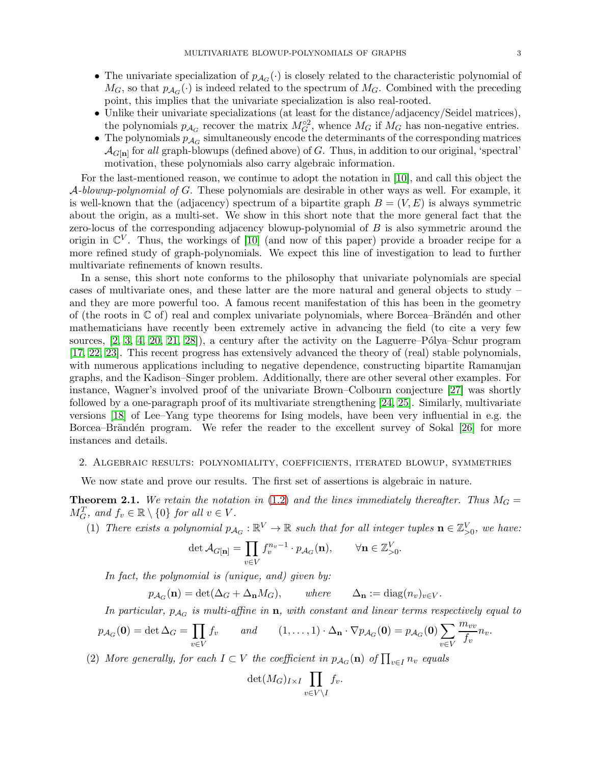- 
- The univariate specialization of  $p_{A_G}(\cdot)$  is closely related to the characteristic polynomial of  $M_G$ , so that  $p_{\mathcal{A}_G}(\cdot)$  is indeed related to the spectrum of  $M_G$ . Combined with the preceding point, this implies that the univariate specialization is also real-rooted.
- Unlike their univariate specializations (at least for the distance/adjacency/Seidel matrices), the polynomials  $p_{\mathcal{A}_G}$  recover the matrix  $M_G^{\circ 2}$ , whence  $M_G$  if  $M_G$  has non-negative entries.
- The polynomials  $p_{\mathcal{A}_G}$  simultaneously encode the determinants of the corresponding matrices  $\mathcal{A}_{G[\mathbf{n}]}$  for all graph-blowups (defined above) of G. Thus, in addition to our original, 'spectral' motivation, these polynomials also carry algebraic information.

For the last-mentioned reason, we continue to adopt the notation in [\[10\]](#page-9-0), and call this object the  $\mathcal{A}\text{-}blowup\text{-}polynomial$  of G. These polynomials are desirable in other ways as well. For example, it is well-known that the (adjacency) spectrum of a bipartite graph  $B = (V, E)$  is always symmetric about the origin, as a multi-set. We show in this short note that the more general fact that the zero-locus of the corresponding adjacency blowup-polynomial of  $B$  is also symmetric around the origin in  $\mathbb{C}^V$ . Thus, the workings of [\[10\]](#page-9-0) (and now of this paper) provide a broader recipe for a more refined study of graph-polynomials. We expect this line of investigation to lead to further multivariate refinements of known results.

In a sense, this short note conforms to the philosophy that univariate polynomials are special cases of multivariate ones, and these latter are the more natural and general objects to study – and they are more powerful too. A famous recent manifestation of this has been in the geometry of (the roots in  $\mathbb C$  of) real and complex univariate polynomials, where Borcea–Brändén and other mathematicians have recently been extremely active in advancing the field (to cite a very few sources,  $[2, 3, 4, 20, 21, 28]$  $[2, 3, 4, 20, 21, 28]$  $[2, 3, 4, 20, 21, 28]$  $[2, 3, 4, 20, 21, 28]$  $[2, 3, 4, 20, 21, 28]$  $[2, 3, 4, 20, 21, 28]$ , a century after the activity on the Laguerre–Pólya–Schur program [\[17,](#page-9-11) [22,](#page-9-12) [23\]](#page-9-13). This recent progress has extensively advanced the theory of (real) stable polynomials, with numerous applications including to negative dependence, constructing bipartite Ramanujan graphs, and the Kadison–Singer problem. Additionally, there are other several other examples. For instance, Wagner's involved proof of the univariate Brown–Colbourn conjecture [\[27\]](#page-10-1) was shortly followed by a one-paragraph proof of its multivariate strengthening [\[24,](#page-9-14) [25\]](#page-10-2). Similarly, multivariate versions [\[18\]](#page-9-15) of Lee–Yang type theorems for Ising models, have been very influential in e.g. the Borcea–Brändén program. We refer the reader to the excellent survey of Sokal [\[26\]](#page-10-3) for more instances and details.

#### 2. Algebraic results: polynomiality, coefficients, iterated blowup, symmetries

We now state and prove our results. The first set of assertions is algebraic in nature.

<span id="page-2-0"></span>**Theorem 2.1.** We retain the notation in [\(1.2\)](#page-0-0) and the lines immediately thereafter. Thus  $M<sub>G</sub>$  $M_G^T$ , and  $f_v \in \mathbb{R} \setminus \{0\}$  for all  $v \in V$ .

(1) There exists a polynomial  $p_{\mathcal{A}_G}: \mathbb{R}^V \to \mathbb{R}$  such that for all integer tuples  $\mathbf{n} \in \mathbb{Z}_{>0}^V$ , we have:

$$
\det \mathcal{A}_{G[\mathbf{n}]} = \prod_{v \in V} f_v^{n_v - 1} \cdot p_{\mathcal{A}_G}(\mathbf{n}), \qquad \forall \mathbf{n} \in \mathbb{Z}_{\geq 0}^V.
$$

In fact, the polynomial is (unique, and) given by:

 $p_{\mathcal{A}_G}(\mathbf{n}) = \det(\Delta_G + \Delta_{\mathbf{n}}M_G), \quad where \quad \Delta_{\mathbf{n}} := \text{diag}(n_v)_{v \in V}.$ 

In particular,  $p_{\mathcal{A}_G}$  is multi-affine in  $\mathbf{n}$ , with constant and linear terms respectively equal to

$$
p_{\mathcal{A}_G}(\mathbf{0}) = \det \Delta_G = \prod_{v \in V} f_v \qquad and \qquad (1, \dots, 1) \cdot \Delta_{\mathbf{n}} \cdot \nabla p_{\mathcal{A}_G}(\mathbf{0}) = p_{\mathcal{A}_G}(\mathbf{0}) \sum_{v \in V} \frac{m_{vv}}{f_v} n_v.
$$

(2) More generally, for each  $I \subset V$  the coefficient in  $p_{A_G}(\mathbf{n})$  of  $\prod_{v \in I} n_v$  equals

$$
\det(M_G)_{I\times I} \prod_{v\in V\setminus I} f_v.
$$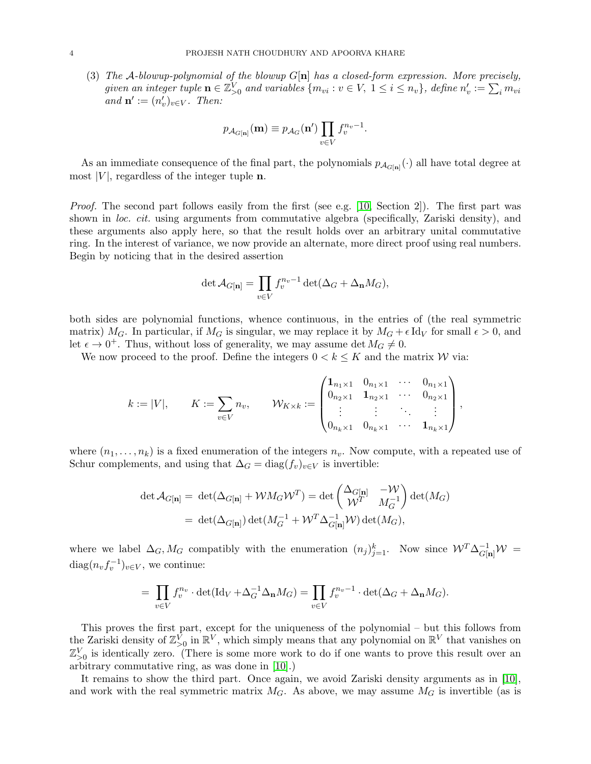(3) The A-blowup-polynomial of the blowup  $G[n]$  has a closed-form expression. More precisely, given an integer tuple  $\mathbf{n} \in \mathbb{Z}_{\geq 0}^V$  and variables  $\{m_{vi}: v \in V, 1 \leq i \leq n_v\}$ , define  $n'_v := \sum_i m_{vi}$ and  $\mathbf{n}' := (n'_v)_{v \in V}$ . Then:

$$
p_{\mathcal{A}_{G[\mathbf{n}]}}(\mathbf{m}) \equiv p_{\mathcal{A}_G}(\mathbf{n}') \prod_{v \in V} f_v^{n_v - 1}.
$$

As an immediate consequence of the final part, the polynomials  $p_{\mathcal{A}_{G[n]}}(\cdot)$  all have total degree at most  $|V|$ , regardless of the integer tuple **n**.

Proof. The second part follows easily from the first (see e.g. [\[10,](#page-9-0) Section 2]). The first part was shown in *loc. cit.* using arguments from commutative algebra (specifically, Zariski density), and these arguments also apply here, so that the result holds over an arbitrary unital commutative ring. In the interest of variance, we now provide an alternate, more direct proof using real numbers. Begin by noticing that in the desired assertion

$$
\det \mathcal{A}_{G[\mathbf{n}]} = \prod_{v \in V} f_v^{n_v - 1} \det(\Delta_G + \Delta_{\mathbf{n}} M_G),
$$

both sides are polynomial functions, whence continuous, in the entries of (the real symmetric matrix) M<sub>G</sub>. In particular, if M<sub>G</sub> is singular, we may replace it by  $M_G + \epsilon \mathrm{Id}_V$  for small  $\epsilon > 0$ , and let  $\epsilon \to 0^+$ . Thus, without loss of generality, we may assume det  $M_G \neq 0$ .

We now proceed to the proof. Define the integers  $0 < k \leq K$  and the matrix W via:

$$
k := |V|, \qquad K := \sum_{v \in V} n_v, \qquad \mathcal{W}_{K \times k} := \begin{pmatrix} \mathbf{1}_{n_1 \times 1} & 0_{n_1 \times 1} & \cdots & 0_{n_1 \times 1} \\ 0_{n_2 \times 1} & \mathbf{1}_{n_2 \times 1} & \cdots & 0_{n_2 \times 1} \\ \vdots & \vdots & \ddots & \vdots \\ 0_{n_k \times 1} & 0_{n_k \times 1} & \cdots & \mathbf{1}_{n_k \times 1} \end{pmatrix},
$$

where  $(n_1, \ldots, n_k)$  is a fixed enumeration of the integers  $n_v$ . Now compute, with a repeated use of Schur complements, and using that  $\Delta_G = \text{diag}(f_v)_{v \in V}$  is invertible:

$$
\begin{aligned} \det \mathcal{A}_{G[\mathbf{n}]} &= \, \det (\Delta_{G[\mathbf{n}]} + \mathcal{W} M_G \mathcal{W}^T) = \det \begin{pmatrix} \Delta_{G[\mathbf{n}]} & -\mathcal{W} \\ \mathcal{W}^T & M_G^{-1} \end{pmatrix} \det (M_G) \\ &= \, \det (\Delta_{G[\mathbf{n}]}) \det (M_G^{-1} + \mathcal{W}^T \Delta_{G[\mathbf{n}]}^{-1} \mathcal{W}) \det (M_G), \end{aligned}
$$

where we label  $\Delta_G$ ,  $M_G$  compatibly with the enumeration  $(n_j)_{j=1}^k$ . Now since  $W^T \Delta_{G[n]}^{-1} W =$  $\text{diag}(n_v f_v^{-1})_{v \in V}$ , we continue:

$$
= \prod_{v \in V} f_v^{n_v} \cdot \det(\mathrm{Id}_V + \Delta_G^{-1} \Delta_{\mathbf{n}} M_G) = \prod_{v \in V} f_v^{n_v - 1} \cdot \det(\Delta_G + \Delta_{\mathbf{n}} M_G).
$$

This proves the first part, except for the uniqueness of the polynomial – but this follows from the Zariski density of  $\mathbb{Z}_{\geq 0}^V$  in  $\mathbb{R}^V$ , which simply means that any polynomial on  $\mathbb{R}^V$  that vanishes on  $\mathbb{Z}_{\geq 0}^V$  is identically zero. (There is some more work to do if one wants to prove this result over an arbitrary commutative ring, as was done in [\[10\]](#page-9-0).)

It remains to show the third part. Once again, we avoid Zariski density arguments as in [\[10\]](#page-9-0), and work with the real symmetric matrix  $M_G$ . As above, we may assume  $M_G$  is invertible (as is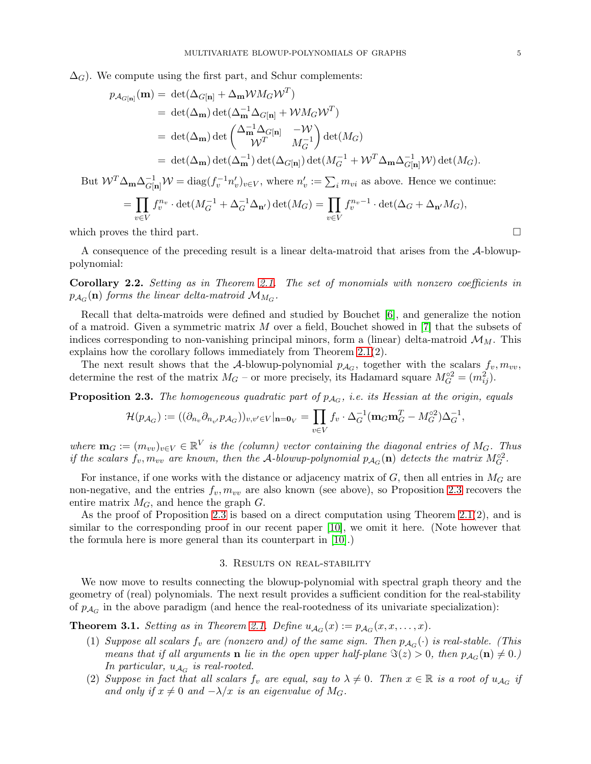$\Delta_G$ ). We compute using the first part, and Schur complements:

$$
p_{\mathcal{A}_{G[n]}}(\mathbf{m}) = \det(\Delta_{G[n]} + \Delta_{\mathbf{m}} \mathcal{W} M_G \mathcal{W}^T)
$$
  
\n
$$
= \det(\Delta_{\mathbf{m}}) \det(\Delta_{\mathbf{m}}^{-1} \Delta_{G[n]} + \mathcal{W} M_G \mathcal{W}^T)
$$
  
\n
$$
= \det(\Delta_{\mathbf{m}}) \det\begin{pmatrix} \Delta_{\mathbf{m}}^{-1} \Delta_{G[n]} & -\mathcal{W} \\ \mathcal{W}^T & M_G^{-1} \end{pmatrix} \det(M_G)
$$
  
\n
$$
= \det(\Delta_{\mathbf{m}}) \det(\Delta_{\mathbf{m}}^{-1}) \det(\Delta_{G[n]}) \det(M_G^{-1} + \mathcal{W}^T \Delta_{\mathbf{m}} \Delta_{G[n]}^{-1} \mathcal{W}) \det(M_G).
$$

But  $W^T \Delta_{\mathbf{m}} \Delta_{G[\mathbf{n}]}^{-1} W = \text{diag}(f_v^{-1} n_v')_{v \in V}$ , where  $n_v' := \sum_i m_{vi}$  as above. Hence we continue:

$$
= \prod_{v \in V} f_v^{n_v} \cdot \det(M_G^{-1} + \Delta_G^{-1} \Delta_{\mathbf{n}'}) \det(M_G) = \prod_{v \in V} f_v^{n_v - 1} \cdot \det(\Delta_G + \Delta_{\mathbf{n}'} M_G),
$$

which proves the third part.

A consequence of the preceding result is a linear delta-matroid that arises from the A-blowuppolynomial:

<span id="page-4-2"></span>Corollary 2.2. Setting as in Theorem [2.1.](#page-2-0) The set of monomials with nonzero coefficients in  $p_{\mathcal{A}_G}(\mathbf{n})$  forms the linear delta-matroid  $\mathcal{M}_{M_G}$ .

Recall that delta-matroids were defined and studied by Bouchet [\[6\]](#page-9-16), and generalize the notion of a matroid. Given a symmetric matrix  $M$  over a field, Bouchet showed in  $[7]$  that the subsets of indices corresponding to non-vanishing principal minors, form a (linear) delta-matroid  $\mathcal{M}_M$ . This explains how the corollary follows immediately from Theorem [2.1\(](#page-2-0)2).

The next result shows that the A-blowup-polynomial  $p_{A_G}$ , together with the scalars  $f_v, m_{vv}$ , determine the rest of the matrix  $M_G$  – or more precisely, its Hadamard square  $M_G^{\circ 2} = (m_{ij}^2)$ .

<span id="page-4-0"></span>**Proposition 2.3.** The homogeneous quadratic part of  $p_{A_G}$ , i.e. its Hessian at the origin, equals

$$
\mathcal{H}(p_{\mathcal{A}_G}):=((\partial_{n_v}\partial_{n_{v'}}p_{\mathcal{A}_G}))_{v,v'\in V}|_{\mathbf{n}=\mathbf{0}_V}=\prod_{v\in V}f_v\cdot\Delta_G^{-1}(\mathbf{m}_G\mathbf{m}_G^T-M_G^{\circ 2})\Delta_G^{-1},
$$

where  $\mathbf{m}_G := (m_{vv})_{v \in V} \in \mathbb{R}^V$  is the (column) vector containing the diagonal entries of  $M_G$ . Thus if the scalars  $f_v, m_{vv}$  are known, then the A-blowup-polynomial  $p_{A_G}(\mathbf{n})$  detects the matrix  $M_G^{\circ 2}$ .

For instance, if one works with the distance or adjacency matrix of  $G$ , then all entries in  $M_G$  are non-negative, and the entries  $f_v, m_{vv}$  are also known (see above), so Proposition [2.3](#page-4-0) recovers the entire matrix  $M_G$ , and hence the graph  $G$ .

As the proof of Proposition [2.3](#page-4-0) is based on a direct computation using Theorem [2.1\(](#page-2-0)2), and is similar to the corresponding proof in our recent paper [\[10\]](#page-9-0), we omit it here. (Note however that the formula here is more general than its counterpart in [\[10\]](#page-9-0).)

#### 3. Results on real-stability

We now move to results connecting the blowup-polynomial with spectral graph theory and the geometry of (real) polynomials. The next result provides a sufficient condition for the real-stability of  $p_{A_G}$  in the above paradigm (and hence the real-rootedness of its univariate specialization):

<span id="page-4-1"></span>**Theorem 3.1.** Setting as in Theorem [2.1.](#page-2-0) Define  $u_{A_G}(x) := p_{A_G}(x, x, \dots, x)$ .

- (1) Suppose all scalars  $f_v$  are (nonzero and) of the same sign. Then  $p_{A_G}(\cdot)$  is real-stable. (This means that if all arguments **n** lie in the open upper half-plane  $\Im(z) > 0$ , then  $p_{A_G}(\mathbf{n}) \neq 0$ .) In particular,  $u_{A_G}$  is real-rooted.
- (2) Suppose in fact that all scalars  $f_v$  are equal, say to  $\lambda \neq 0$ . Then  $x \in \mathbb{R}$  is a root of  $u_{\mathcal{A}_G}$  if and only if  $x \neq 0$  and  $-\lambda/x$  is an eigenvalue of M<sub>G</sub>.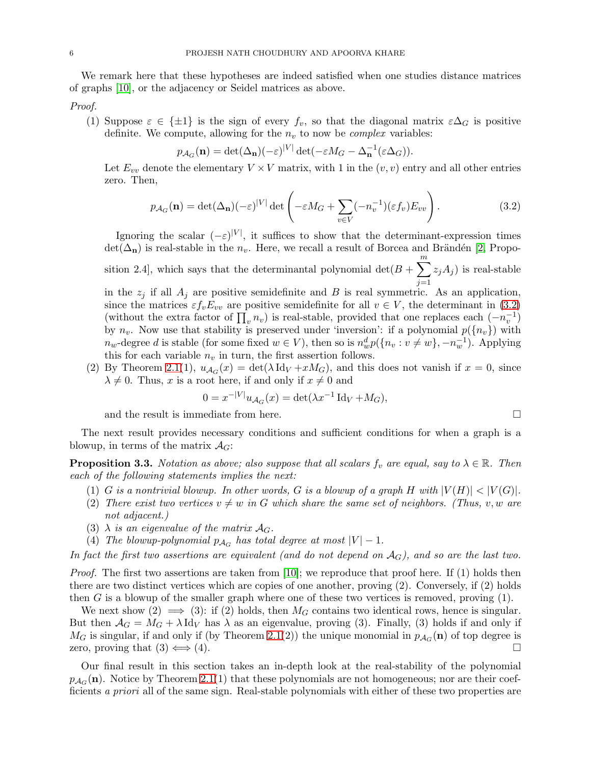We remark here that these hypotheses are indeed satisfied when one studies distance matrices of graphs [\[10\]](#page-9-0), or the adjacency or Seidel matrices as above.

Proof.

(1) Suppose  $\varepsilon \in {\pm 1}$  is the sign of every  $f_v$ , so that the diagonal matrix  $\varepsilon \Delta_G$  is positive definite. We compute, allowing for the  $n_v$  to now be *complex* variables:

$$
p_{\mathcal{A}_G}(\mathbf{n}) = \det(\Delta_{\mathbf{n}})(-\varepsilon)^{|V|} \det(-\varepsilon M_G - \Delta_{\mathbf{n}}^{-1}(\varepsilon \Delta_G)).
$$

Let  $E_{vv}$  denote the elementary  $V \times V$  matrix, with 1 in the  $(v, v)$  entry and all other entries zero. Then,

<span id="page-5-0"></span>
$$
p_{\mathcal{A}_G}(\mathbf{n}) = \det(\Delta_{\mathbf{n}})(-\varepsilon)^{|V|} \det\left(-\varepsilon M_G + \sum_{v \in V} (-n_v^{-1})(\varepsilon f_v) E_{vv}\right).
$$
 (3.2)

Ignoring the scalar  $(-\varepsilon)^{|V|}$ , it suffices to show that the determinant-expression times  $\det(\Delta_{\bf n})$  is real-stable in the  $n_v$ . Here, we recall a result of Borcea and Brändén [\[2,](#page-9-6) Proposition 2.4, which says that the determinantal polynomial  $\det(B + \sum_{n=1}^{m}$  $j=1$  $(z_jA_j)$  is real-stable

in the  $z_j$  if all  $A_j$  are positive semidefinite and B is real symmetric. As an application, since the matrices  $\varepsilon f_v E_{vv}$  are positive semidefinite for all  $v \in V$ , the determinant in [\(3.2\)](#page-5-0) (without the extra factor of  $\prod_v n_v$ ) is real-stable, provided that one replaces each  $(-n_v^{-1})$ by  $n_v$ . Now use that stability is preserved under 'inversion': if a polynomial  $p({n_v})$  with  $n_w$ -degree d is stable (for some fixed  $w \in V$ ), then so is  $n_w^d p(\lbrace n_v : v \neq w \rbrace, -n_w^{-1})$ . Applying this for each variable  $n_v$  in turn, the first assertion follows.

(2) By Theorem [2.1\(](#page-2-0)1),  $u_{A_G}(x) = \det(\lambda \operatorname{Id}_V + xM_G)$ , and this does not vanish if  $x = 0$ , since  $\lambda \neq 0$ . Thus, x is a root here, if and only if  $x \neq 0$  and

$$
0 = x^{-|V|} u_{\mathcal{A}_G}(x) = \det(\lambda x^{-1} \operatorname{Id}_V + M_G),
$$

and the result is immediate from here.

The next result provides necessary conditions and sufficient conditions for when a graph is a blowup, in terms of the matrix  $\mathcal{A}_G$ :

<span id="page-5-1"></span>**Proposition 3.3.** Notation as above; also suppose that all scalars  $f_v$  are equal, say to  $\lambda \in \mathbb{R}$ . Then each of the following statements implies the next:

- (1) G is a nontrivial blowup. In other words, G is a blowup of a graph H with  $|V(H)| < |V(G)|$ .
- (2) There exist two vertices  $v \neq w$  in G which share the same set of neighbors. (Thus, v, w are not adjacent.)
- (3)  $\lambda$  is an eigenvalue of the matrix  $\mathcal{A}_G$ .
- (4) The blowup-polynomial  $p_{A_G}$  has total degree at most  $|V| 1$ .

In fact the first two assertions are equivalent (and do not depend on  $A_G$ ), and so are the last two.

Proof. The first two assertions are taken from [\[10\]](#page-9-0); we reproduce that proof here. If (1) holds then there are two distinct vertices which are copies of one another, proving (2). Conversely, if (2) holds then G is a blowup of the smaller graph where one of these two vertices is removed, proving (1).

We next show (2)  $\implies$  (3): if (2) holds, then  $M_G$  contains two identical rows, hence is singular. But then  $A_G = M_G + \lambda \mathrm{Id}_V$  has  $\lambda$  as an eigenvalue, proving (3). Finally, (3) holds if and only if  $M_G$  is singular, if and only if (by Theorem [2.1\(](#page-2-0)2)) the unique monomial in  $p_{A_G}(\mathbf{n})$  of top degree is zero, proving that  $(3) \Longleftrightarrow (4)$ .

Our final result in this section takes an in-depth look at the real-stability of the polynomial  $p_{\mathcal{A}_G}(\mathbf{n})$ . Notice by Theorem [2.1\(](#page-2-0)1) that these polynomials are not homogeneous; nor are their coefficients a priori all of the same sign. Real-stable polynomials with either of these two properties are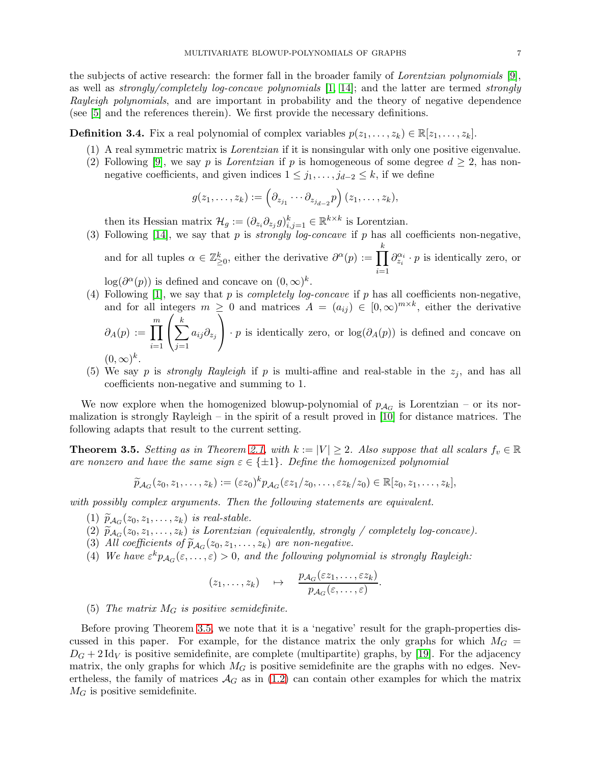the subjects of active research: the former fall in the broader family of Lorentzian polynomials [\[9\]](#page-9-18), as well as strongly/completely log-concave polynomials  $[1, 14]$  $[1, 14]$ ; and the latter are termed strongly Rayleigh polynomials, and are important in probability and the theory of negative dependence (see [\[5\]](#page-9-21) and the references therein). We first provide the necessary definitions.

**Definition 3.4.** Fix a real polynomial of complex variables  $p(z_1, \ldots, z_k) \in \mathbb{R}[z_1, \ldots, z_k]$ .

- (1) A real symmetric matrix is Lorentzian if it is nonsingular with only one positive eigenvalue.
- (2) Following [\[9\]](#page-9-18), we say p is *Lorentzian* if p is homogeneous of some degree  $d \geq 2$ , has nonnegative coefficients, and given indices  $1 \leq j_1, \ldots, j_{d-2} \leq k$ , if we define

$$
g(z_1,\ldots,z_k):=\left(\partial_{z_{j_1}}\cdots\partial_{z_{j_{d-2}}}p\right)(z_1,\ldots,z_k),
$$

then its Hessian matrix  $\mathcal{H}_g := (\partial_{z_i} \partial_{z_j} g)_{i,j=1}^k \in \mathbb{R}^{k \times k}$  is Lorentzian.

(3) Following [\[14\]](#page-9-20), we say that p is *strongly log-concave* if p has all coefficients non-negative, and for all tuples  $\alpha \in \mathbb{Z}_{\geq 0}^k$ , either the derivative  $\partial^{\alpha}(p) := \prod^k$  $i=1$  $\partial_{z_i}^{\alpha_i} \cdot p$  is identically zero, or

 $\log(\partial^{\alpha}(p))$  is defined and concave on  $(0,\infty)^{k}$ .

- (4) Following [\[1\]](#page-9-19), we say that p is *completely log-concave* if p has all coefficients non-negative, and for all integers  $m \geq 0$  and matrices  $A = (a_{ij}) \in [0, \infty)^{m \times k}$ , either the derivative  $\sqrt{ }$  $\stackrel{k}{\blacktriangledown}$  $\setminus$ 
	- $\partial_A(p) := \prod^m$  $i=1$  $\mathbf{I}$  $j=1$  $a_{ij}\partial_{z_j}$  $\cdot p$  is identically zero, or  $\log(\partial_A(p))$  is defined and concave on k

$$
(0,\infty)^k
$$
.

(5) We say p is *strongly Rayleigh* if p is multi-affine and real-stable in the  $z_j$ , and has all coefficients non-negative and summing to 1.

We now explore when the homogenized blowup-polynomial of  $p_{A_G}$  is Lorentzian – or its normalization is strongly Rayleigh – in the spirit of a result proved in [\[10\]](#page-9-0) for distance matrices. The following adapts that result to the current setting.

<span id="page-6-0"></span>**Theorem 3.5.** Setting as in Theorem [2.1,](#page-2-0) with  $k := |V| \ge 2$ . Also suppose that all scalars  $f_v \in \mathbb{R}$ are nonzero and have the same sign  $\varepsilon \in \{\pm 1\}$ . Define the homogenized polynomial

$$
\widetilde{p}_{\mathcal{A}_G}(z_0,z_1,\ldots,z_k):=(\varepsilon z_0)^k p_{\mathcal{A}_G}(\varepsilon z_1/z_0,\ldots,\varepsilon z_k/z_0)\in\mathbb{R}[z_0,z_1,\ldots,z_k],
$$

with possibly complex arguments. Then the following statements are equivalent.

- $(1)$   $\widetilde{p}_{\mathcal{A}_G}(z_0, z_1, \ldots, z_k)$  is real-stable.
- $(2)$   $\widetilde{p}_{A_G}(z_0, z_1, \ldots, z_k)$  is Lorentzian (equivalently, strongly / completely log-concave).
- (3) All coefficients of  $\widetilde{p}_{A_G}(z_0, z_1, \ldots, z_k)$  are non-negative.
- (4) We have  $\varepsilon^k p_{\mathcal{A}_G}(\varepsilon,\ldots,\varepsilon) > 0$ , and the following polynomial is strongly Rayleigh:

$$
(z_1,\ldots,z_k) \quad \mapsto \quad \frac{p_{\mathcal{A}_G}(\varepsilon z_1,\ldots,\varepsilon z_k)}{p_{\mathcal{A}_G}(\varepsilon,\ldots,\varepsilon)}.
$$

## (5) The matrix  $M_G$  is positive semidefinite.

Before proving Theorem [3.5,](#page-6-0) we note that it is a 'negative' result for the graph-properties discussed in this paper. For example, for the distance matrix the only graphs for which  $M<sub>G</sub>$  =  $D_G + 2 \text{Id}_V$  is positive semidefinite, are complete (multipartite) graphs, by [\[19\]](#page-9-22). For the adjacency matrix, the only graphs for which  $M_G$  is positive semidefinite are the graphs with no edges. Nevertheless, the family of matrices  $\mathcal{A}_G$  as in [\(1.2\)](#page-0-0) can contain other examples for which the matrix  $M<sub>G</sub>$  is positive semidefinite.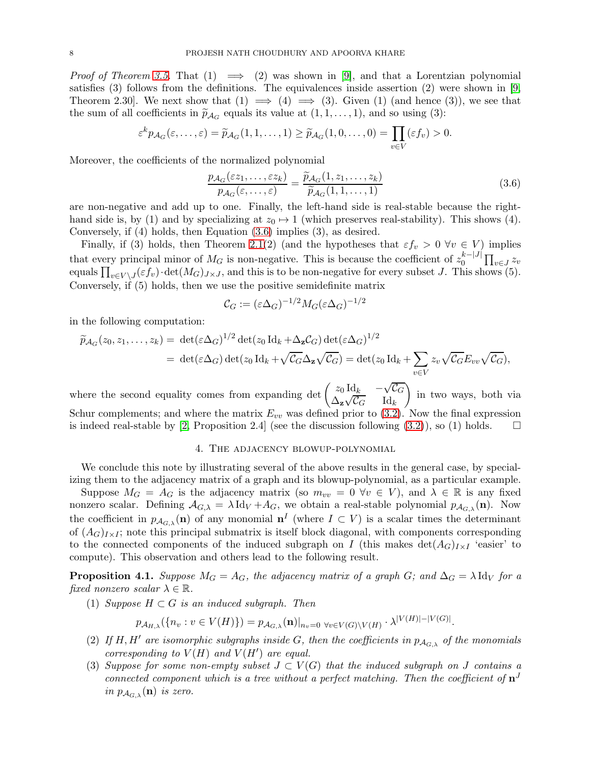*Proof of Theorem [3.5.](#page-6-0)* That (1)  $\implies$  (2) was shown in [\[9\]](#page-9-18), and that a Lorentzian polynomial satisfies (3) follows from the definitions. The equivalences inside assertion (2) were shown in [\[9,](#page-9-18) Theorem 2.30. We next show that  $(1) \implies (4) \implies (3)$ . Given  $(1)$  (and hence  $(3)$ ), we see that the sum of all coefficients in  $\tilde{p}_{A_G}$  equals its value at  $(1, 1, \ldots, 1)$ , and so using (3):

$$
\varepsilon^k p_{\mathcal{A}_G}(\varepsilon,\ldots,\varepsilon)=\widetilde{p}_{\mathcal{A}_G}(1,1,\ldots,1)\geq \widetilde{p}_{\mathcal{A}_G}(1,0,\ldots,0)=\prod_{v\in V}(\varepsilon f_v)>0.
$$

Moreover, the coefficients of the normalized polynomial

<span id="page-7-0"></span>
$$
\frac{p_{\mathcal{A}_G}(\varepsilon z_1, \dots, \varepsilon z_k)}{p_{\mathcal{A}_G}(\varepsilon, \dots, \varepsilon)} = \frac{\widetilde{p}_{\mathcal{A}_G}(1, z_1, \dots, z_k)}{\widetilde{p}_{\mathcal{A}_G}(1, 1, \dots, 1)}
$$
(3.6)

are non-negative and add up to one. Finally, the left-hand side is real-stable because the righthand side is, by (1) and by specializing at  $z_0 \mapsto 1$  (which preserves real-stability). This shows (4). Conversely, if (4) holds, then Equation [\(3.6\)](#page-7-0) implies (3), as desired.

Finally, if (3) holds, then Theorem [2.1\(](#page-2-0)2) (and the hypotheses that  $\varepsilon f_v > 0 \ \forall v \in V$ ) implies that every principal minor of  $M_G$  is non-negative. This is because the coefficient of  $z_0^{k-|J|}$  $\int_0^{k-|J|} \prod_{v \in J} z_v$ equals  $\prod_{v\in V\setminus J}(\varepsilon f_v)\cdot \det(M_G)_{J\times J}$ , and this is to be non-negative for every subset J. This shows (5). Conversely, if (5) holds, then we use the positive semidefinite matrix

$$
\mathcal{C}_G := (\varepsilon \Delta_G)^{-1/2} M_G(\varepsilon \Delta_G)^{-1/2}
$$

in the following computation:

$$
\widetilde{p}_{\mathcal{A}_G}(z_0, z_1, \dots, z_k) = \det(\varepsilon \Delta_G)^{1/2} \det(z_0 \operatorname{Id}_k + \Delta_{\mathbf{z}} \mathcal{C}_G) \det(\varepsilon \Delta_G)^{1/2}
$$
\n
$$
= \det(\varepsilon \Delta_G) \det(z_0 \operatorname{Id}_k + \sqrt{\mathcal{C}_G} \Delta_{\mathbf{z}} \sqrt{\mathcal{C}_G}) = \det(z_0 \operatorname{Id}_k + \sum_{v \in V} z_v \sqrt{\mathcal{C}_G} E_{vv} \sqrt{\mathcal{C}_G}),
$$

where the second equality comes from expanding det  $\begin{pmatrix} z_0 \, \mathrm{Id}_k & -\sqrt{z_0} \, \mathrm{Id}_k \end{pmatrix}$  $\mathcal{L}_G$  $\Delta_{\mathbf{z}}\sqrt{\mathcal{C}_G}$   $\operatorname{Id}_k$  $\setminus$ in two ways, both via Schur complements; and where the matrix  $E_{vv}$  was defined prior to [\(3.2\)](#page-5-0). Now the final expression is indeed real-stable by [\[2,](#page-9-6) Proposition 2.4] (see the discussion following  $(3.2)$ ), so (1) holds.  $\square$ 

#### 4. The adjacency blowup-polynomial

We conclude this note by illustrating several of the above results in the general case, by specializing them to the adjacency matrix of a graph and its blowup-polynomial, as a particular example.

Suppose  $M_G = A_G$  is the adjacency matrix (so  $m_{vv} = 0 \ \forall v \in V$ ), and  $\lambda \in \mathbb{R}$  is any fixed nonzero scalar. Defining  $A_{G,\lambda} = \lambda \, \text{Id}_V + A_G$ , we obtain a real-stable polynomial  $p_{A_{G,\lambda}}(\mathbf{n})$ . Now the coefficient in  $p_{A_{G,\lambda}}(n)$  of any monomial  $n^I$  (where  $I \subset V$ ) is a scalar times the determinant of  $(A_G)_{I\times I}$ ; note this principal submatrix is itself block diagonal, with components corresponding to the connected components of the induced subgraph on I (this makes  $\det(A_G)_{I\times I}$  'easier' to compute). This observation and others lead to the following result.

**Proposition 4.1.** Suppose  $M_G = A_G$ , the adjacency matrix of a graph G; and  $\Delta_G = \lambda \mathrm{Id}_V$  for a fixed nonzero scalar  $\lambda \in \mathbb{R}$ .

(1) Suppose  $H \subset G$  is an induced subgraph. Then

$$
p_{\mathcal{A}_{H,\lambda}}(\{n_v : v \in V(H)\}) = p_{\mathcal{A}_{G,\lambda}}(\mathbf{n})|_{n_v=0 \ \forall v \in V(G) \setminus V(H)} \cdot \lambda^{|V(H)| - |V(G)|}.
$$

- (2) If H, H' are isomorphic subgraphs inside G, then the coefficients in  $p_{A_{G,\lambda}}$  of the monomials corresponding to  $V(H)$  and  $V(H')$  are equal.
- (3) Suppose for some non-empty subset  $J \subset V(G)$  that the induced subgraph on J contains a connected component which is a tree without a perfect matching. Then the coefficient of  $\mathbf{n}^{J}$ in  $p_{\mathcal{A}_{G,\lambda}}(\mathbf{n})$  is zero.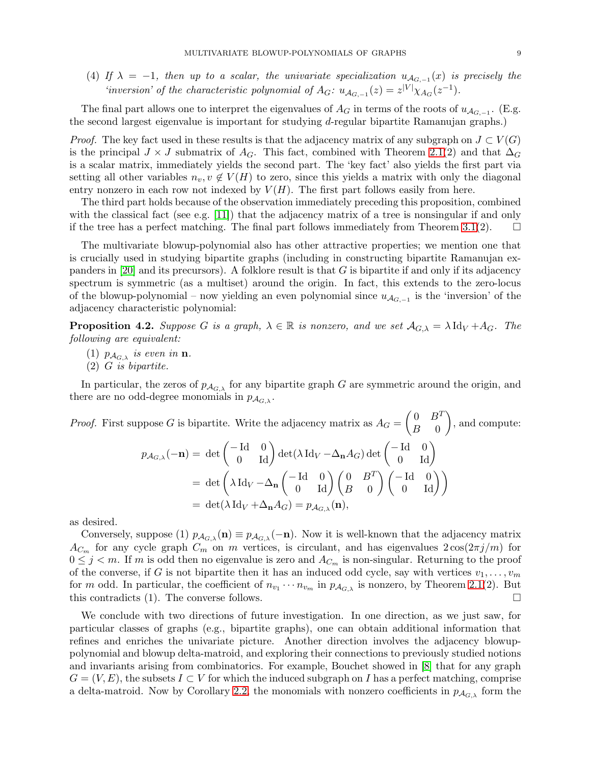(4) If  $\lambda = -1$ , then up to a scalar, the univariate specialization  $u_{A_{G,-1}}(x)$  is precisely the 'inversion' of the characteristic polynomial of  $A_G$ :  $u_{A_{G,-1}}(z) = z^{|V|} \chi_{A_G}(z^{-1})$ .

The final part allows one to interpret the eigenvalues of  $A_G$  in terms of the roots of  $u_{A_{G,-1}}$ . (E.g. the second largest eigenvalue is important for studying d-regular bipartite Ramanujan graphs.)

*Proof.* The key fact used in these results is that the adjacency matrix of any subgraph on  $J \subset V(G)$ is the principal  $J \times J$  submatrix of  $A_G$ . This fact, combined with Theorem [2.1\(](#page-2-0)2) and that  $\Delta_G$ is a scalar matrix, immediately yields the second part. The 'key fact' also yields the first part via setting all other variables  $n_v, v \notin V(H)$  to zero, since this yields a matrix with only the diagonal entry nonzero in each row not indexed by  $V(H)$ . The first part follows easily from here.

The third part holds because of the observation immediately preceding this proposition, combined with the classical fact (see e.g. [\[11\]](#page-9-4)) that the adjacency matrix of a tree is nonsingular if and only if the tree has a perfect matching. The final part follows immediately from Theorem [3.1\(](#page-4-1)2).  $\Box$ 

The multivariate blowup-polynomial also has other attractive properties; we mention one that is crucially used in studying bipartite graphs (including in constructing bipartite Ramanujan expanders in  $[20]$  and its precursors). A folklore result is that G is bipartite if and only if its adjacency spectrum is symmetric (as a multiset) around the origin. In fact, this extends to the zero-locus of the blowup-polynomial – now yielding an even polynomial since  $u_{\mathcal{A}_{G,-1}}$  is the 'inversion' of the adjacency characteristic polynomial:

**Proposition 4.2.** Suppose G is a graph,  $\lambda \in \mathbb{R}$  is nonzero, and we set  $\mathcal{A}_{G,\lambda} = \lambda \operatorname{Id}_V + \mathcal{A}_G$ . The following are equivalent:

- (1)  $p_{A_{G,\lambda}}$  is even in **n**.
- (2) G is bipartite.

In particular, the zeros of  $p_{A_{G,\lambda}}$  for any bipartite graph G are symmetric around the origin, and there are no odd-degree monomials in  $p_{A_{G,\lambda}}$ .

*Proof.* First suppose G is bipartite. Write the adjacency matrix as  $A_G =$  $\left(0 \quad B^T\right)$  $B = 0$  $\setminus$ , and compute:  $p_{A_{G,\lambda}}(-\mathbf{n}) = \det \begin{pmatrix} -\mathrm{Id} & 0 \ 0 & \mathrm{Id} \end{pmatrix} \det(\lambda \operatorname{Id}_V - \Delta_{\mathbf{n}}A_G) \det \begin{pmatrix} -\mathrm{Id} & 0 \ 0 & \mathrm{Id} \end{pmatrix}$  $= det \left( \lambda \, \text{Id}_V - \Delta_n \right)$  $\begin{pmatrix} -\operatorname{Id} & 0 \\ 0 & \operatorname{Id} \end{pmatrix} \begin{pmatrix} 0 & B^T \\ B & 0 \end{pmatrix}$  $\binom{-\mathrm{Id} & 0}{0 & \mathrm{Id}}$  $= \det(\lambda \operatorname{Id}_V + \Delta_n A_G) = p_{A_G}(\mathbf{n}),$ 

as desired.

Conversely, suppose (1)  $p_{A_{G,\lambda}}(\mathbf{n}) \equiv p_{A_{G,\lambda}}(-\mathbf{n})$ . Now it is well-known that the adjacency matrix  $A_{C_m}$  for any cycle graph  $C_m$  on m vertices, is circulant, and has eigenvalues  $2\cos(2\pi j/m)$  for  $0 \leq j \leq m$ . If m is odd then no eigenvalue is zero and  $A_{C_m}$  is non-singular. Returning to the proof of the converse, if G is not bipartite then it has an induced odd cycle, say with vertices  $v_1, \ldots, v_m$ for m odd. In particular, the coefficient of  $n_{v_1} \cdots n_{v_m}$  in  $p_{\mathcal{A}_{G,\lambda}}$  is nonzero, by Theorem [2.1\(](#page-2-0)2). But this contradicts (1). The converse follows.  $\Box$ 

We conclude with two directions of future investigation. In one direction, as we just saw, for particular classes of graphs (e.g., bipartite graphs), one can obtain additional information that refines and enriches the univariate picture. Another direction involves the adjacency blowuppolynomial and blowup delta-matroid, and exploring their connections to previously studied notions and invariants arising from combinatorics. For example, Bouchet showed in [\[8\]](#page-9-23) that for any graph  $G = (V, E)$ , the subsets  $I \subset V$  for which the induced subgraph on I has a perfect matching, comprise a delta-matroid. Now by Corollary [2.2,](#page-4-2) the monomials with nonzero coefficients in  $p_{A_G\lambda}$  form the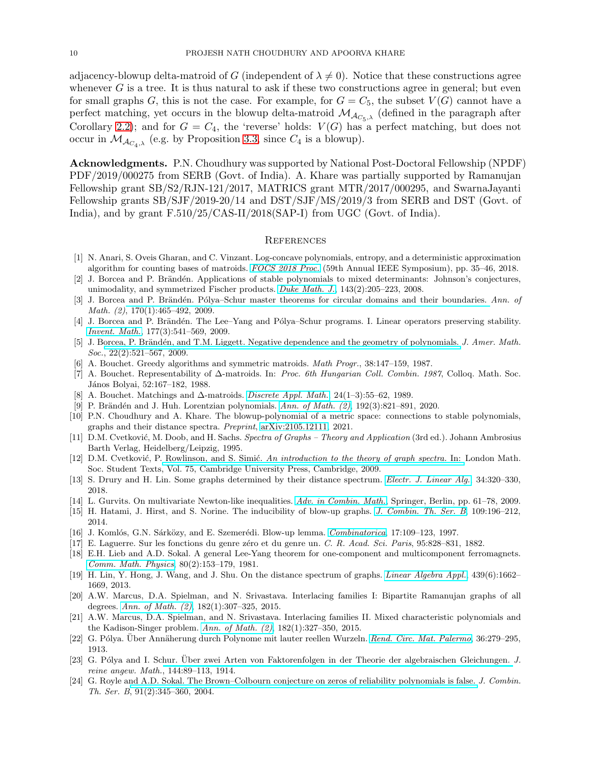adjacency-blowup delta-matroid of G (independent of  $\lambda \neq 0$ ). Notice that these constructions agree whenever  $G$  is a tree. It is thus natural to ask if these two constructions agree in general; but even for small graphs G, this is not the case. For example, for  $G = C_5$ , the subset  $V(G)$  cannot have a perfect matching, yet occurs in the blowup delta-matroid  $\mathcal{M}_{\mathcal{A}_{C_5,\lambda}}$  (defined in the paragraph after Corollary [2.2\)](#page-4-2); and for  $G = C_4$ , the 'reverse' holds:  $V(G)$  has a perfect matching, but does not occur in  $\mathcal{M}_{\mathcal{A}_{C4,\lambda}}$  (e.g. by Proposition [3.3,](#page-5-1) since  $C_4$  is a blowup).

Acknowledgments. P.N. Choudhury was supported by National Post-Doctoral Fellowship (NPDF) PDF/2019/000275 from SERB (Govt. of India). A. Khare was partially supported by Ramanujan Fellowship grant SB/S2/RJN-121/2017, MATRICS grant MTR/2017/000295, and SwarnaJayanti Fellowship grants SB/SJF/2019-20/14 and DST/SJF/MS/2019/3 from SERB and DST (Govt. of India), and by grant F.510/25/CAS-II/2018(SAP-I) from UGC (Govt. of India).

### **REFERENCES**

- <span id="page-9-19"></span>[1] N. Anari, S. Oveis Gharan, and C. Vinzant. Log-concave polynomials, entropy, and a deterministic approximation algorithm for counting bases of matroids. [FOCS 2018 Proc.](http://dx.doi.org/10.1109/FOCS.2018.00013) (59th Annual IEEE Symposium), pp. 35–46, 2018.
- <span id="page-9-6"></span>[2] J. Borcea and P. Brändén. Applications of stable polynomials to mixed determinants: Johnson's conjectures, unimodality, and symmetrized Fischer products. [Duke Math. J.](http://dx.doi.org/10.1215/00127094-2008-018), 143(2):205–223, 2008.
- <span id="page-9-7"></span>[3] J. Borcea and P. Brändén. Pólya–Schur master theorems for circular domains and their boundaries. Ann. of Math. (2), 170(1):465–492, 2009.
- <span id="page-9-8"></span>[4] J. Borcea and P. Brändén. The Lee–Yang and Pólya–Schur programs. I. Linear operators preserving stability. [Invent. Math.](http://dx.doi.org/10.1007/s00222-009-0189-3), 177(3):541–569, 2009.
- <span id="page-9-21"></span>[5] J. Borcea, P. Brändén, and T.M. Liggett. Negative dependence and the geometry of polynomials. J. Amer. Math.  $Soc., 22(2):521-567, 2009.$
- <span id="page-9-17"></span><span id="page-9-16"></span>[6] A. Bouchet. Greedy algorithms and symmetric matroids. Math Progr., 38:147–159, 1987.
- [7] A. Bouchet. Representability of ∆-matroids. In: Proc. 6th Hungarian Coll. Combin. 1987, Colloq. Math. Soc. János Bolyai, 52:167–182, 1988.
- <span id="page-9-23"></span><span id="page-9-18"></span>[8] A. Bouchet. Matchings and ∆-matroids. [Discrete Appl. Math.](http://dx.doi.org/10.1016/0166-218X(92)90272-C), 24(1–3):55–62, 1989.
- <span id="page-9-0"></span>[9] P. Brändén and J. Huh. Lorentzian polynomials. Ann. of Math.  $(2)$ , 192 $(3)$ :821–891, 2020.
- [10] P.N. Choudhury and A. Khare. The blowup-polynomial of a metric space: connections to stable polynomials, graphs and their distance spectra. Preprint, [arXiv:2105.12111,](http://arxiv.org/abs/2105.12111) 2021.
- <span id="page-9-4"></span>[11] D.M. Cvetković, M. Doob, and H. Sachs. Spectra of Graphs – Theory and Application (3rd ed.). Johann Ambrosius Barth Verlag, Heidelberg/Leipzig, 1995.
- <span id="page-9-5"></span>[12] D.M. Cvetković, P. Rowlinson, and S. Simić. [An introduction to the theory of graph spectra.](http://dx.doi.org/10.1017/CBO9780511801518) In: London Math. Soc. Student Texts, Vol. 75, Cambridge University Press, Cambridge, 2009.
- <span id="page-9-20"></span><span id="page-9-3"></span>[13] S. Drury and H. Lin. Some graphs determined by their distance spectrum. [Electr. J. Linear Alg.](http://dx.doi.org/10.13001/1081-3810.3613), 34:320-330, 2018.
- <span id="page-9-1"></span>[14] L. Gurvits. On multivariate Newton-like inequalities. [Adv. in Combin. Math.](http://dx.doi.org/10.1007/978-3-642-03562-3_4), Springer, Berlin, pp. 61–78, 2009.
- <span id="page-9-2"></span>[15] H. Hatami, J. Hirst, and S. Norine. The inducibility of blow-up graphs. [J. Combin. Th. Ser. B](http://dx.doi.org/10.1016/j.jctb.2014.06.005), 109:196–212, 2014.
- <span id="page-9-11"></span>[16] J. Komlós, G.N. Sárközy, and E. Szemerédi. Blow-up lemma. [Combinatorica](http://dx.doi.org/10.1007/BF01196135), 17:109–123, 1997.
- <span id="page-9-15"></span>[17] E. Laguerre. Sur les fonctions du genre z´ero et du genre un. C. R. Acad. Sci. Paris, 95:828–831, 1882.
- [18] E.H. Lieb and A.D. Sokal. A general Lee-Yang theorem for one-component and multicomponent ferromagnets. [Comm. Math. Physics](http://dx.doi.org/10.1007/BF01213009), 80(2):153–179, 1981.
- <span id="page-9-22"></span>[19] H. Lin, Y. Hong, J. Wang, and J. Shu. On the distance spectrum of graphs. [Linear Algebra Appl.](http://http://dx.doi.org/10.1016/j.laa.2013.04.019), 439(6):1662– 1669, 2013.
- <span id="page-9-9"></span>[20] A.W. Marcus, D.A. Spielman, and N. Srivastava. Interlacing families I: Bipartite Ramanujan graphs of all degrees. [Ann. of Math. \(2\)](http://dx.doi.org/10.4007/annals.2015.182.1.7), 182(1):307–325, 2015.
- <span id="page-9-10"></span>[21] A.W. Marcus, D.A. Spielman, and N. Srivastava. Interlacing families II. Mixed characteristic polynomials and the Kadison-Singer problem. [Ann. of Math. \(2\)](http://dx.doi.org/10.4007/annals.2015.182.1.8), 182(1):327–350, 2015.
- <span id="page-9-13"></span><span id="page-9-12"></span>[22] G. Pólya. Über Annäherung durch Polynome mit lauter reellen Wurzeln. [Rend. Circ. Mat. Palermo](http://dx.doi.org/10.1007/BF03016033), 36:279–295, 1913.
- [23] G. Pólya and I. Schur. Über zwei Arten von Faktorenfolgen in der Theorie der algebraischen Gleichungen. J. reine angew. Math., 144:89–113, 1914.
- <span id="page-9-14"></span>[24] G. Royle a[nd A.D. Sokal. The Brown–Colbourn conjecture](http://dx.doi.org/10.1016/j.jctb.2004.03.008) on zeros of reliability polynomials is false. J. Combin. Th. Ser. B, 91(2):345–360, 2004.